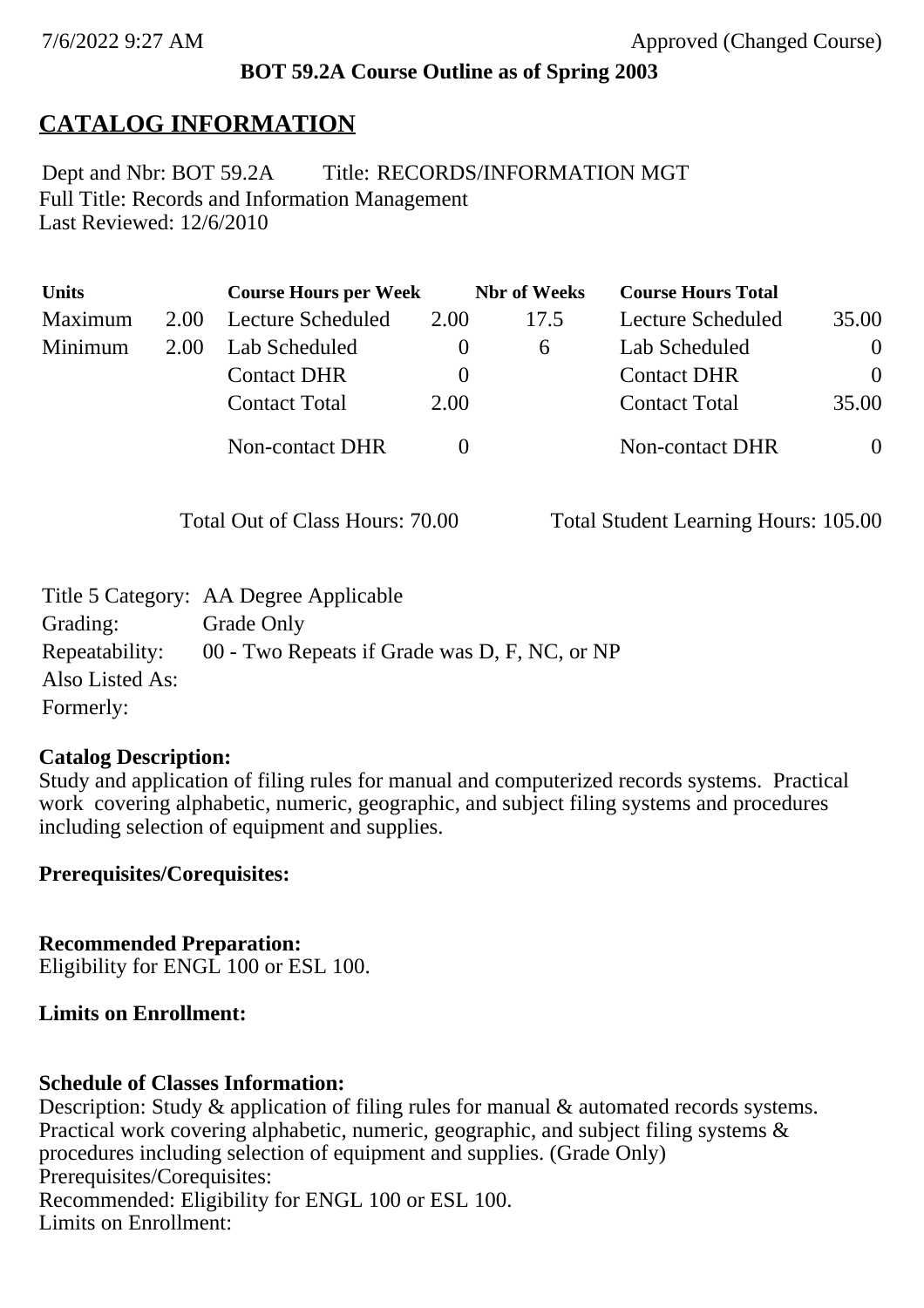### **BOT 59.2A Course Outline as of Spring 2003**

# **CATALOG INFORMATION**

Full Title: Records and Information Management Last Reviewed: 12/6/2010 Dept and Nbr: BOT 59.2A Title: RECORDS/INFORMATION MGT

| <b>Units</b> |      | <b>Course Hours per Week</b> |          | <b>Nbr</b> of Weeks | <b>Course Hours Total</b> |          |
|--------------|------|------------------------------|----------|---------------------|---------------------------|----------|
| Maximum      | 2.00 | <b>Lecture Scheduled</b>     | 2.00     | 17.5                | Lecture Scheduled         | 35.00    |
| Minimum      | 2.00 | Lab Scheduled                | $\theta$ | $\sigma$            | Lab Scheduled             | $\theta$ |
|              |      | <b>Contact DHR</b>           | $\theta$ |                     | <b>Contact DHR</b>        | $\Omega$ |
|              |      | <b>Contact Total</b>         | 2.00     |                     | <b>Contact Total</b>      | 35.00    |
|              |      | Non-contact DHR              |          |                     | <b>Non-contact DHR</b>    | $\theta$ |

Total Out of Class Hours: 70.00 Total Student Learning Hours: 105.00

|                 | Title 5 Category: AA Degree Applicable                       |
|-----------------|--------------------------------------------------------------|
| Grading:        | Grade Only                                                   |
|                 | Repeatability: 00 - Two Repeats if Grade was D, F, NC, or NP |
| Also Listed As: |                                                              |
| Formerly:       |                                                              |

### **Catalog Description:**

Study and application of filing rules for manual and computerized records systems. Practical work covering alphabetic, numeric, geographic, and subject filing systems and procedures including selection of equipment and supplies.

**Prerequisites/Corequisites:**

**Recommended Preparation:** Eligibility for ENGL 100 or ESL 100.

# **Limits on Enrollment:**

# **Schedule of Classes Information:**

Description: Study & application of filing rules for manual & automated records systems. Practical work covering alphabetic, numeric, geographic, and subject filing systems & procedures including selection of equipment and supplies. (Grade Only) Prerequisites/Corequisites: Recommended: Eligibility for ENGL 100 or ESL 100. Limits on Enrollment: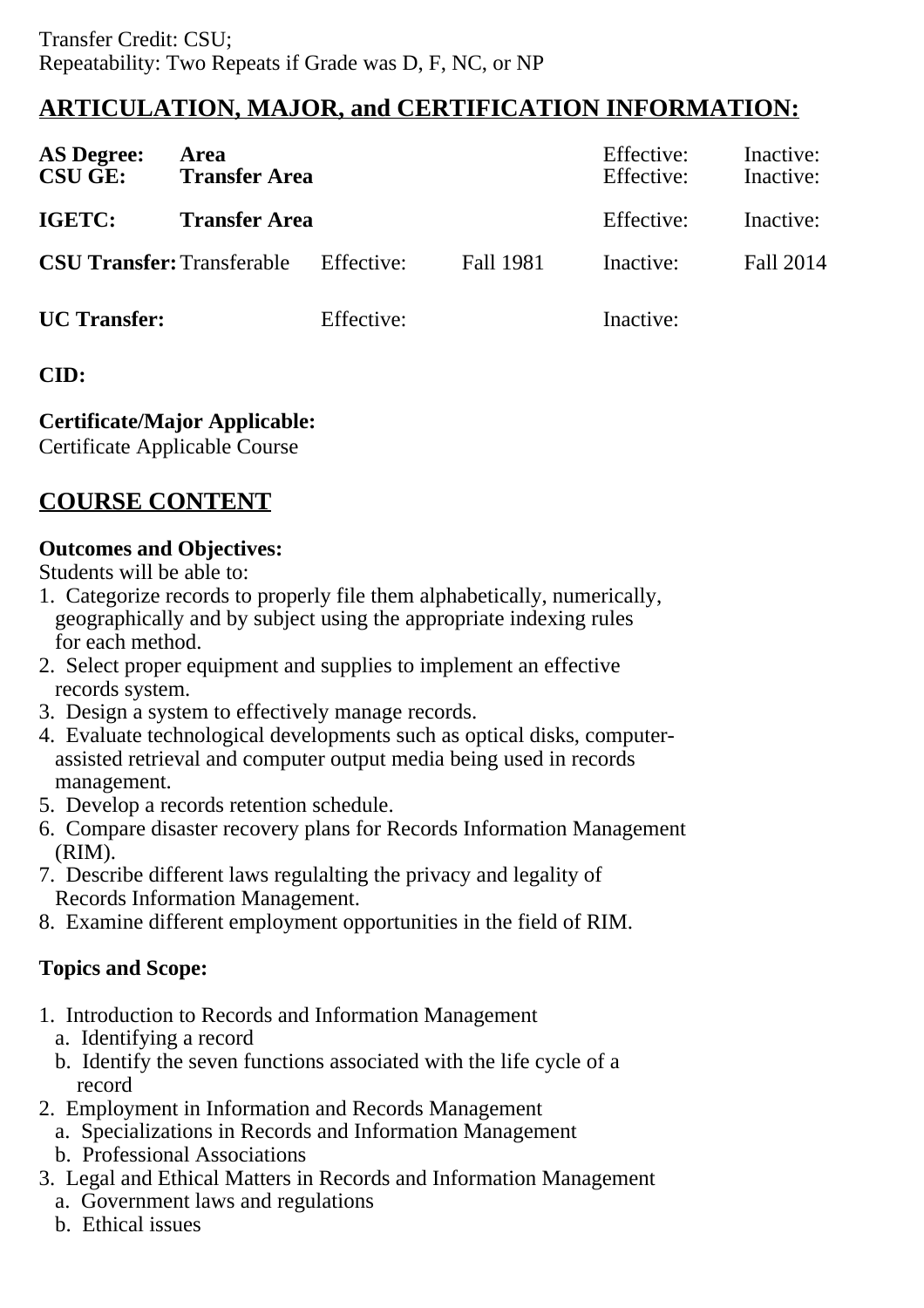# **ARTICULATION, MAJOR, and CERTIFICATION INFORMATION:**

| <b>AS Degree:</b><br><b>CSU GE:</b> | <b>Area</b><br><b>Transfer Area</b> |            |           | Effective:<br>Effective: | Inactive:<br>Inactive: |  |
|-------------------------------------|-------------------------------------|------------|-----------|--------------------------|------------------------|--|
| IGETC:                              | <b>Transfer Area</b>                |            |           | Effective:               | Inactive:              |  |
| <b>CSU Transfer: Transferable</b>   |                                     | Effective: | Fall 1981 | Inactive:                | Fall 2014              |  |
| <b>UC</b> Transfer:                 |                                     | Effective: |           | Inactive:                |                        |  |

#### **CID:**

**Certificate/Major Applicable:** 

[Certificate Applicable Course](SR_ClassCheck.aspx?CourseKey=BOT59.2A)

## **COURSE CONTENT**

#### **Outcomes and Objectives:**

Students will be able to:

- 1. Categorize records to properly file them alphabetically, numerically, geographically and by subject using the appropriate indexing rules for each method.
- 2. Select proper equipment and supplies to implement an effective records system.
- 3. Design a system to effectively manage records.
- 4. Evaluate technological developments such as optical disks, computer assisted retrieval and computer output media being used in records management.
- 5. Develop a records retention schedule.
- 6. Compare disaster recovery plans for Records Information Management (RIM).
- 7. Describe different laws regulalting the privacy and legality of Records Information Management.
- 8. Examine different employment opportunities in the field of RIM.

### **Topics and Scope:**

- 1. Introduction to Records and Information Management
	- a. Identifying a record
	- b. Identify the seven functions associated with the life cycle of a record
- 2. Employment in Information and Records Management
	- a. Specializations in Records and Information Management
	- b. Professional Associations
- 3. Legal and Ethical Matters in Records and Information Management
	- a. Government laws and regulations
	- b. Ethical issues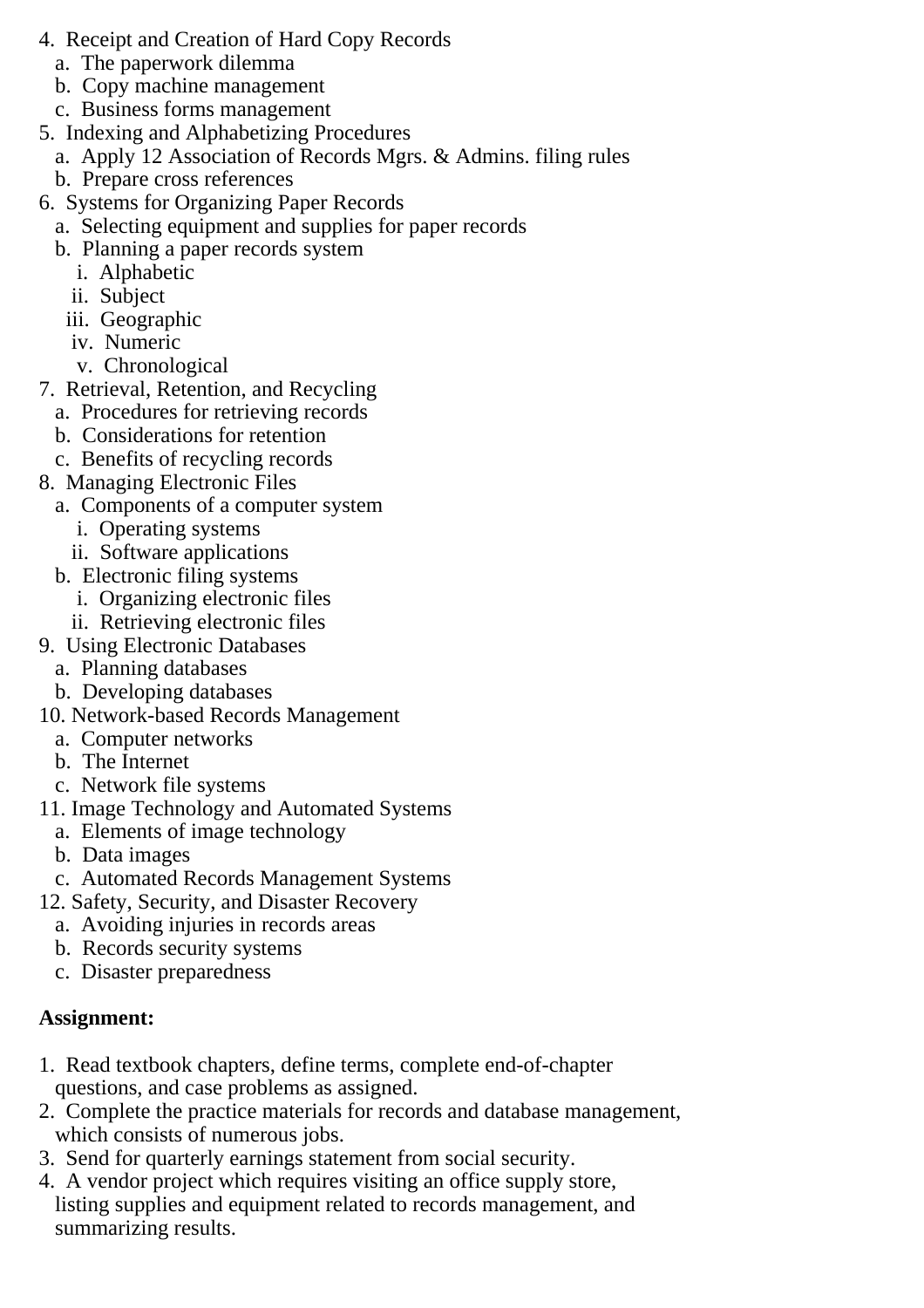- 4. Receipt and Creation of Hard Copy Records
	- a. The paperwork dilemma
	- b. Copy machine management
	- c. Business forms management
- 5. Indexing and Alphabetizing Procedures
	- a. Apply 12 Association of Records Mgrs. & Admins. filing rules
	- b. Prepare cross references
- 6. Systems for Organizing Paper Records
	- a. Selecting equipment and supplies for paper records
	- b. Planning a paper records system
		- i. Alphabetic
		- ii. Subject
		- iii. Geographic
		- iv. Numeric
		- v. Chronological
- 7. Retrieval, Retention, and Recycling
	- a. Procedures for retrieving records
	- b. Considerations for retention
	- c. Benefits of recycling records
- 8. Managing Electronic Files
	- a. Components of a computer system
		- i. Operating systems
		- ii. Software applications
	- b. Electronic filing systems
		- i. Organizing electronic files
		- ii. Retrieving electronic files
- 9. Using Electronic Databases
	- a. Planning databases
	- b. Developing databases
- 10. Network-based Records Management
	- a. Computer networks
	- b. The Internet
	- c. Network file systems
- 11. Image Technology and Automated Systems
	- a. Elements of image technology
	- b. Data images
	- c. Automated Records Management Systems
- 12. Safety, Security, and Disaster Recovery
	- a. Avoiding injuries in records areas
	- b. Records security systems
	- c. Disaster preparedness

#### **Assignment:**

- 1. Read textbook chapters, define terms, complete end-of-chapter questions, and case problems as assigned.
- 2. Complete the practice materials for records and database management, which consists of numerous jobs.
- 3. Send for quarterly earnings statement from social security.
- 4. A vendor project which requires visiting an office supply store, listing supplies and equipment related to records management, and summarizing results.